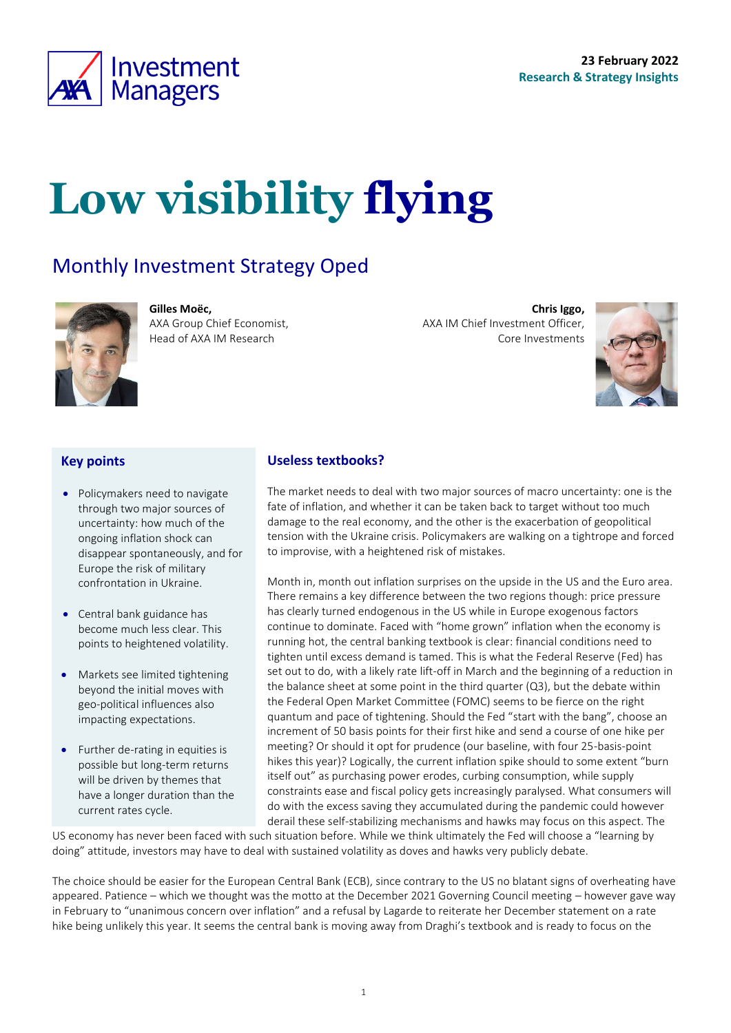

# **Low visibility flying**

## Monthly Investment Strategy Oped



**Gilles Moëc,** AXA Group Chief Economist, Head of AXA IM Research

**Chris Iggo,**  AXA IM Chief Investment Officer, Core Investments

<span id="page-0-0"></span>

#### **Key points**

- Policymakers need to navigate through two major sources of uncertainty: how much of the ongoing inflation shock can disappear spontaneously, and for Europe the risk of military confrontation in Ukraine.
- Central bank guidance has become much less clear. This points to heightened volatility.
- Markets see limited tightening beyond the initial moves with geo-political influences also impacting expectations.
- Further de-rating in equities is possible but long-term returns will be driven by themes that have a longer duration than the current rates cycle.

#### **Useless textbooks?**

The market needs to deal with two major sources of macro uncertainty: one is the fate of inflation, and whether it can be taken back to target without too much damage to the real economy, and the other is the exacerbation of geopolitical tension with the Ukraine crisis. Policymakers are walking on a tightrope and forced to improvise, with a heightened risk of mistakes.

Month in, month out inflation surprises on the upside in the US and the Euro area. There remains a key difference between the two regions though: price pressure has clearly turned endogenous in the US while in Europe exogenous factors continue to dominate. Faced with "home grown" inflation when the economy is running hot, the central banking textbook is clear: financial conditions need to tighten until excess demand is tamed. This is what the Federal Reserve (Fed) has set out to do, with a likely rate lift-off in March and the beginning of a reduction in the balance sheet at some point in the third quarter (Q3), but the debate within the Federal Open Market Committee (FOMC) seems to be fierce on the right quantum and pace of tightening. Should the Fed "start with the bang", choose an increment of 50 basis points for their first hike and send a course of one hike per meeting? Or should it opt for prudence (our baseline, with four 25-basis-point hikes this year)? Logically, the current inflation spike should to some extent "burn itself out" as purchasing power erodes, curbing consumption, while supply constraints ease and fiscal policy gets increasingly paralysed. What consumers will do with the excess saving they accumulated during the pandemic could however derail these self-stabilizing mechanisms and hawks may focus on this aspect. The

US economy has never been faced with such situation before. While we think ultimately the Fed will choose a "learning by doing" attitude, investors may have to deal with sustained volatility as doves and hawks very publicly debate.

The choice should be easier for the European Central Bank (ECB), since contrary to the US no blatant signs of overheating have appeared. Patience – which we thought was the motto at the December 2021 Governing Council meeting – however gave way in February to "unanimous concern over inflation" and a refusal by Lagarde to reiterate her December statement on a rate hike being unlikely this year. It seems the central bank is moving away from Draghi's textbook and is ready to focus on the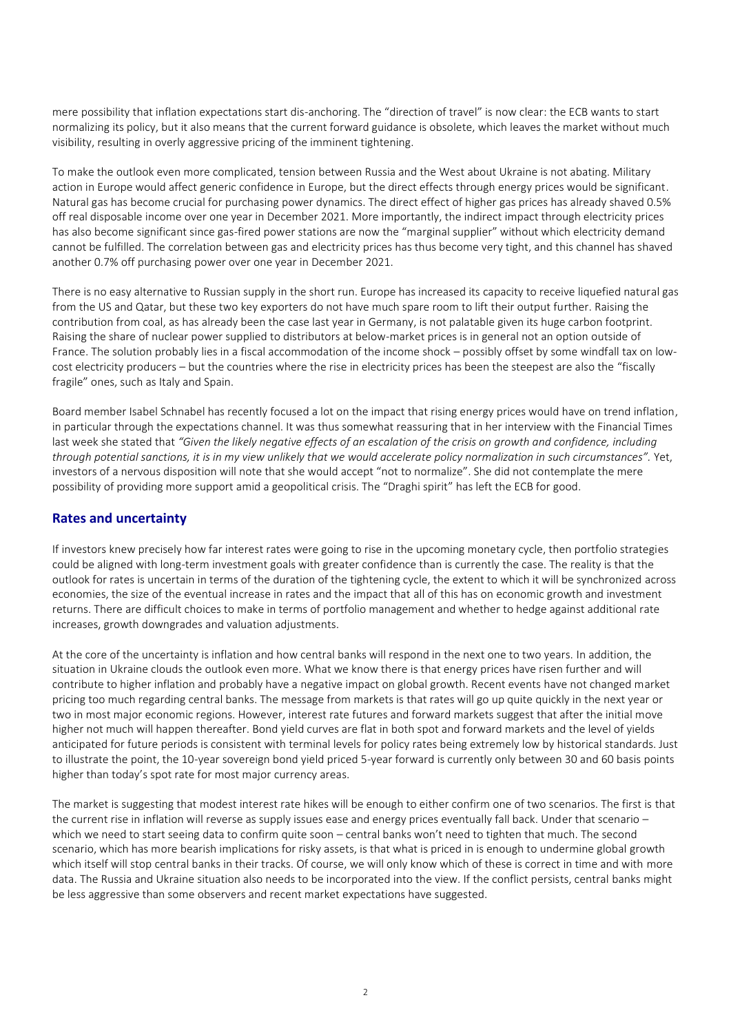mere possibility that inflation expectations start dis-anchoring. The "direction of travel" is now clear: the ECB wants to start normalizing its policy, but it also means that the current forward guidance is obsolete, which leaves the market without much visibility, resulting in overly aggressive pricing of the imminent tightening.

To make the outlook even more complicated, tension between Russia and the West about Ukraine is not abating. Military action in Europe would affect generic confidence in Europe, but the direct effects through energy prices would be significant. Natural gas has become crucial for purchasing power dynamics. The direct effect of higher gas prices has already shaved 0.5% off real disposable income over one year in December 2021. More importantly, the indirect impact through electricity prices has also become significant since gas-fired power stations are now the "marginal supplier" without which electricity demand cannot be fulfilled. The correlation between gas and electricity prices has thus become very tight, and this channel has shaved another 0.7% off purchasing power over one year in December 2021.

There is no easy alternative to Russian supply in the short run. Europe has increased its capacity to receive liquefied natural gas from the US and Qatar, but these two key exporters do not have much spare room to lift their output further. Raising the contribution from coal, as has already been the case last year in Germany, is not palatable given its huge carbon footprint. Raising the share of nuclear power supplied to distributors at below-market prices is in general not an option outside of France. The solution probably lies in a fiscal accommodation of the income shock – possibly offset by some windfall tax on lowcost electricity producers – but the countries where the rise in electricity prices has been the steepest are also the "fiscally fragile" ones, such as Italy and Spain.

Board member Isabel Schnabel has recently focused a lot on the impact that rising energy prices would have on trend inflation, in particular through the expectations channel. It was thus somewhat reassuring that in her interview with the Financial Times last week she stated that *"Given the likely negative effects of an escalation of the crisis on growth and confidence, including through potential sanctions, it is in my view unlikely that we would accelerate policy normalization in such circumstances".* Yet, investors of a nervous disposition will note that she would accept "not to normalize". She did not contemplate the mere possibility of providing more support amid a geopolitical crisis. The "Draghi spirit" has left the ECB for good.

#### **Rates and uncertainty**

If investors knew precisely how far interest rates were going to rise in the upcoming monetary cycle, then portfolio strategies could be aligned with long-term investment goals with greater confidence than is currently the case. The reality is that the outlook for rates is uncertain in terms of the duration of the tightening cycle, the extent to which it will be synchronized across economies, the size of the eventual increase in rates and the impact that all of this has on economic growth and investment returns. There are difficult choices to make in terms of portfolio management and whether to hedge against additional rate increases, growth downgrades and valuation adjustments.

At the core of the uncertainty is inflation and how central banks will respond in the next one to two years. In addition, the situation in Ukraine clouds the outlook even more. What we know there is that energy prices have risen further and will contribute to higher inflation and probably have a negative impact on global growth. Recent events have not changed market pricing too much regarding central banks. The message from markets is that rates will go up quite quickly in the next year or two in most major economic regions. However, interest rate futures and forward markets suggest that after the initial move higher not much will happen thereafter. Bond yield curves are flat in both spot and forward markets and the level of yields anticipated for future periods is consistent with terminal levels for policy rates being extremely low by historical standards. Just to illustrate the point, the 10-year sovereign bond yield priced 5-year forward is currently only between 30 and 60 basis points higher than today's spot rate for most major currency areas.

The market is suggesting that modest interest rate hikes will be enough to either confirm one of two scenarios. The first is that the current rise in inflation will reverse as supply issues ease and energy prices eventually fall back. Under that scenario – which we need to start seeing data to confirm quite soon – central banks won't need to tighten that much. The second scenario, which has more bearish implications for risky assets, is that what is priced in is enough to undermine global growth which itself will stop central banks in their tracks. Of course, we will only know which of these is correct in time and with more data. The Russia and Ukraine situation also needs to be incorporated into the view. If the conflict persists, central banks might be less aggressive than some observers and recent market expectations have suggested.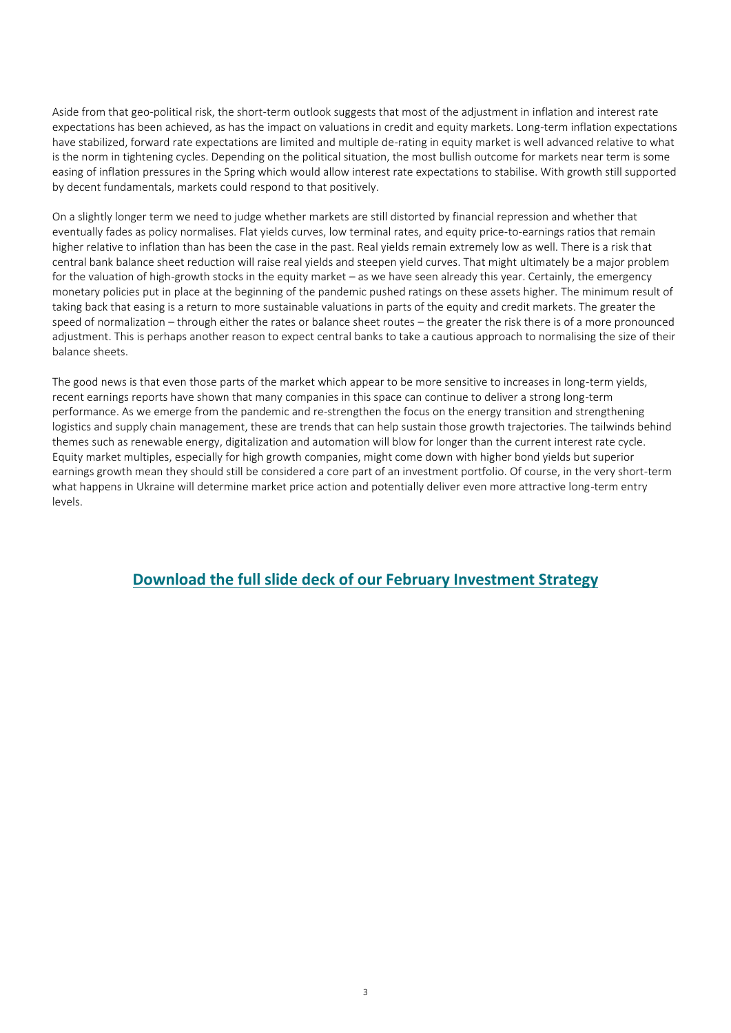Aside from that geo-political risk, the short-term outlook suggests that most of the adjustment in inflation and interest rate expectations has been achieved, as has the impact on valuations in credit and equity markets. Long-term inflation expectations have stabilized, forward rate expectations are limited and multiple de-rating in equity market is well advanced relative to what is the norm in tightening cycles. Depending on the political situation, the most bullish outcome for markets near term is some easing of inflation pressures in the Spring which would allow interest rate expectations to stabilise. With growth still supported by decent fundamentals, markets could respond to that positively.

On a slightly longer term we need to judge whether markets are still distorted by financial repression and whether that eventually fades as policy normalises. Flat yields curves, low terminal rates, and equity price-to-earnings ratios that remain higher relative to inflation than has been the case in the past. Real yields remain extremely low as well. There is a risk that central bank balance sheet reduction will raise real yields and steepen yield curves. That might ultimately be a major problem for the valuation of high-growth stocks in the equity market – as we have seen already this year. Certainly, the emergency monetary policies put in place at the beginning of the pandemic pushed ratings on these assets higher. The minimum result of taking back that easing is a return to more sustainable valuations in parts of the equity and credit markets. The greater the speed of normalization – through either the rates or balance sheet routes – the greater the risk there is of a more pronounced adjustment. This is perhaps another reason to expect central banks to take a cautious approach to normalising the size of their balance sheets.

The good news is that even those parts of the market which appear to be more sensitive to increases in long-term yields, recent earnings reports have shown that many companies in this space can continue to deliver a strong long-term performance. As we emerge from the pandemic and re-strengthen the focus on the energy transition and strengthening logistics and supply chain management, these are trends that can help sustain those growth trajectories. The tailwinds behind themes such as renewable energy, digitalization and automation will blow for longer than the current interest rate cycle. Equity market multiples, especially for high growth companies, might come down with higher bond yields but superior earnings growth mean they should still be considered a core part of an investment portfolio. Of course, in the very short-term what happens in Ukraine will determine market price action and potentially deliver even more attractive long-term entry levels.

### **[Download the full slide deck of our February](https://axa-im.com/sites/default/files/insight/pdf/axa-im-research-strategy-deck-en-2022-02.pdf) Investment Strategy**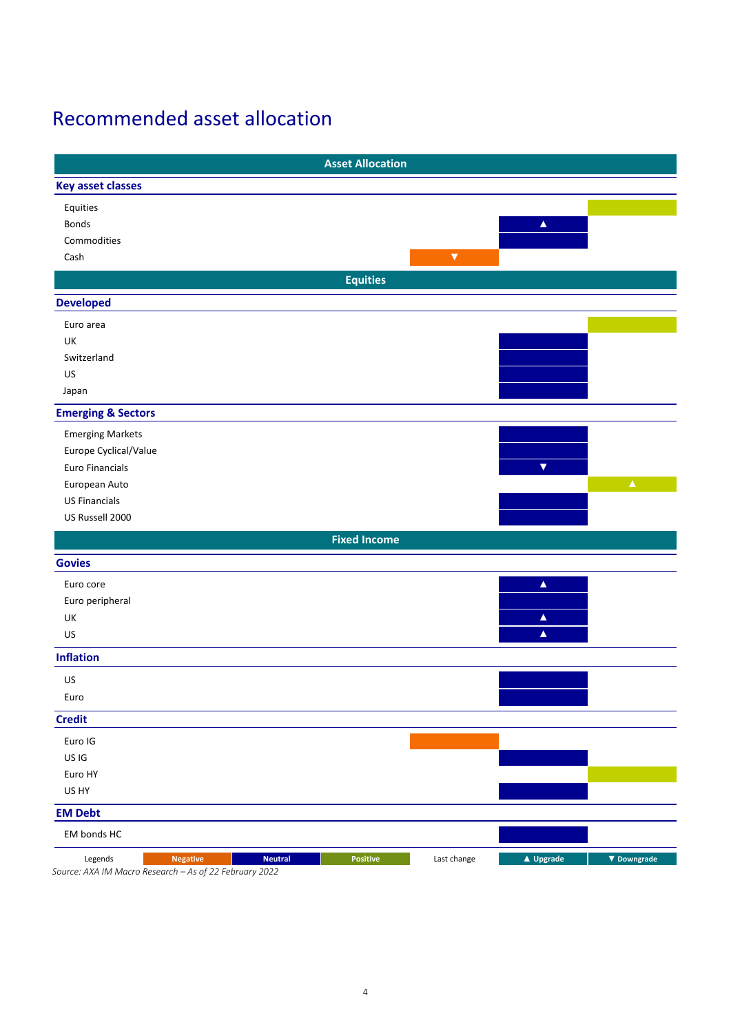## Recommended asset allocation

|                               |                                                     |                | <b>Asset Allocation</b> |                      |                      |                    |
|-------------------------------|-----------------------------------------------------|----------------|-------------------------|----------------------|----------------------|--------------------|
| <b>Key asset classes</b>      |                                                     |                |                         |                      |                      |                    |
| Equities                      |                                                     |                |                         |                      |                      |                    |
| Bonds                         |                                                     |                |                         |                      | $\blacktriangle$     |                    |
| Commodities                   |                                                     |                |                         |                      |                      |                    |
| Cash                          |                                                     |                |                         | $\blacktriangledown$ |                      |                    |
|                               |                                                     |                | <b>Equities</b>         |                      |                      |                    |
| <b>Developed</b>              |                                                     |                |                         |                      |                      |                    |
| Euro area                     |                                                     |                |                         |                      |                      |                    |
| UK                            |                                                     |                |                         |                      |                      |                    |
| Switzerland                   |                                                     |                |                         |                      |                      |                    |
| US                            |                                                     |                |                         |                      |                      |                    |
| Japan                         |                                                     |                |                         |                      |                      |                    |
| <b>Emerging &amp; Sectors</b> |                                                     |                |                         |                      |                      |                    |
| <b>Emerging Markets</b>       |                                                     |                |                         |                      |                      |                    |
| Europe Cyclical/Value         |                                                     |                |                         |                      |                      |                    |
| Euro Financials               |                                                     |                |                         |                      | $\blacktriangledown$ |                    |
| European Auto                 |                                                     |                |                         |                      |                      | $\blacktriangle$   |
| <b>US Financials</b>          |                                                     |                |                         |                      |                      |                    |
| US Russell 2000               |                                                     |                |                         |                      |                      |                    |
|                               |                                                     |                | <b>Fixed Income</b>     |                      |                      |                    |
| <b>Govies</b>                 |                                                     |                |                         |                      |                      |                    |
| Euro core                     |                                                     |                |                         |                      | $\blacktriangle$     |                    |
| Euro peripheral               |                                                     |                |                         |                      |                      |                    |
| UK                            |                                                     |                |                         |                      | $\blacktriangle$     |                    |
| US                            |                                                     |                |                         |                      | $\blacktriangle$     |                    |
| <b>Inflation</b>              |                                                     |                |                         |                      |                      |                    |
| US                            |                                                     |                |                         |                      |                      |                    |
| Euro                          |                                                     |                |                         |                      |                      |                    |
| <b>Credit</b>                 |                                                     |                |                         |                      |                      |                    |
| Euro IG                       |                                                     |                |                         |                      |                      |                    |
| US IG                         |                                                     |                |                         |                      |                      |                    |
| Euro HY                       |                                                     |                |                         |                      |                      |                    |
| US HY                         |                                                     |                |                         |                      |                      |                    |
| <b>EM Debt</b>                |                                                     |                |                         |                      |                      |                    |
| EM bonds HC                   |                                                     |                |                         |                      |                      |                    |
| Legends                       | <b>Negative</b>                                     | <b>Neutral</b> | Positive                | Last change          | ▲ Upgrade            | $\nabla$ Downgrade |
|                               | Course: AVA IMMassa Pescarsh As of 22 February 2022 |                |                         |                      |                      |                    |

*Source: AXA IM Macro Research – As of 22 February 2022*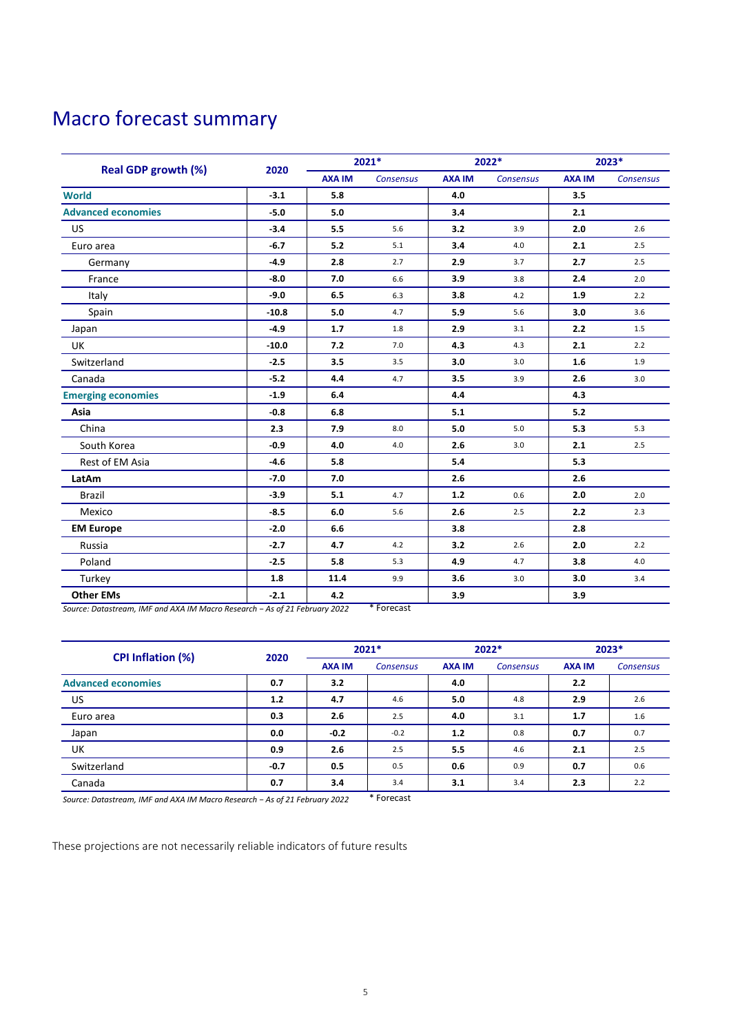## Macro forecast summary

|                            | 2020    | 2021*         |                  | 2022*         |                  | 2023*         |                  |
|----------------------------|---------|---------------|------------------|---------------|------------------|---------------|------------------|
| <b>Real GDP growth (%)</b> |         | <b>AXA IM</b> | <b>Consensus</b> | <b>AXA IM</b> | <b>Consensus</b> | <b>AXA IM</b> | <b>Consensus</b> |
| <b>World</b>               | $-3.1$  | 5.8           |                  | 4.0           |                  | 3.5           |                  |
| <b>Advanced economies</b>  | $-5.0$  | 5.0           |                  | 3.4           |                  | 2.1           |                  |
| <b>US</b>                  | $-3.4$  | 5.5           | 5.6              | 3.2           | 3.9              | 2.0           | 2.6              |
| Euro area                  | $-6.7$  | 5.2           | 5.1              | 3.4           | 4.0              | 2.1           | 2.5              |
| Germany                    | $-4.9$  | 2.8           | 2.7              | 2.9           | 3.7              | 2.7           | 2.5              |
| France                     | $-8.0$  | 7.0           | 6.6              | 3.9           | 3.8              | 2.4           | 2.0              |
| Italy                      | $-9.0$  | 6.5           | 6.3              | 3.8           | 4.2              | 1.9           | 2.2              |
| Spain                      | $-10.8$ | 5.0           | 4.7              | 5.9           | 5.6              | 3.0           | 3.6              |
| Japan                      | $-4.9$  | 1.7           | 1.8              | 2.9           | 3.1              | 2.2           | 1.5              |
| UK                         | $-10.0$ | 7.2           | 7.0              | 4.3           | 4.3              | 2.1           | 2.2              |
| Switzerland                | $-2.5$  | 3.5           | 3.5              | 3.0           | 3.0              | 1.6           | 1.9              |
| Canada                     | $-5.2$  | 4.4           | 4.7              | 3.5           | 3.9              | 2.6           | 3.0              |
| <b>Emerging economies</b>  | $-1.9$  | 6.4           |                  | 4.4           |                  | 4.3           |                  |
| Asia                       | $-0.8$  | 6.8           |                  | 5.1           |                  | 5.2           |                  |
| China                      | 2.3     | 7.9           | 8.0              | 5.0           | 5.0              | 5.3           | 5.3              |
| South Korea                | $-0.9$  | 4.0           | 4.0              | 2.6           | 3.0              | 2.1           | 2.5              |
| Rest of EM Asia            | $-4.6$  | 5.8           |                  | 5.4           |                  | 5.3           |                  |
| LatAm                      | $-7.0$  | 7.0           |                  | 2.6           |                  | 2.6           |                  |
| <b>Brazil</b>              | $-3.9$  | 5.1           | 4.7              | $1.2$         | 0.6              | 2.0           | 2.0              |
| Mexico                     | $-8.5$  | 6.0           | 5.6              | 2.6           | 2.5              | 2.2           | 2.3              |
| <b>EM Europe</b>           | $-2.0$  | 6.6           |                  | 3.8           |                  | 2.8           |                  |
| Russia                     | $-2.7$  | 4.7           | 4.2              | 3.2           | 2.6              | 2.0           | 2.2              |
| Poland                     | $-2.5$  | 5.8           | 5.3              | 4.9           | 4.7              | 3.8           | 4.0              |
| Turkey                     | 1.8     | 11.4          | 9.9              | 3.6           | 3.0              | 3.0           | 3.4              |
| <b>Other EMs</b>           | $-2.1$  | 4.2           |                  | 3.9           |                  | 3.9           |                  |

*Source: Datastream, IMF and AXA IM Macro Research − As of 21 February 2022* \* Forecast

| <b>CPI Inflation (%)</b>  | 2020   | 2021*         |           | $2022*$       |                  | 2023*         |                  |
|---------------------------|--------|---------------|-----------|---------------|------------------|---------------|------------------|
|                           |        | <b>AXA IM</b> | Consensus | <b>AXA IM</b> | <b>Consensus</b> | <b>AXA IM</b> | <b>Consensus</b> |
| <b>Advanced economies</b> | 0.7    | 3.2           |           | 4.0           |                  | 2.2           |                  |
| US                        | 1.2    | 4.7           | 4.6       | 5.0           | 4.8              | 2.9           | 2.6              |
| Euro area                 | 0.3    | 2.6           | 2.5       | 4.0           | 3.1              | 1.7           | 1.6              |
| Japan                     | 0.0    | $-0.2$        | $-0.2$    | 1.2           | 0.8              | 0.7           | 0.7              |
| UK                        | 0.9    | 2.6           | 2.5       | 5.5           | 4.6              | 2.1           | 2.5              |
| Switzerland               | $-0.7$ | 0.5           | 0.5       | 0.6           | 0.9              | 0.7           | 0.6              |
| Canada                    | 0.7    | 3.4           | 3.4       | 3.1           | 3.4              | 2.3           | 2.2              |

*Source: Datastream, IMF and AXA IM Macro Research − As of 21 February 2022* \* Forecast

These projections are not necessarily reliable indicators of future results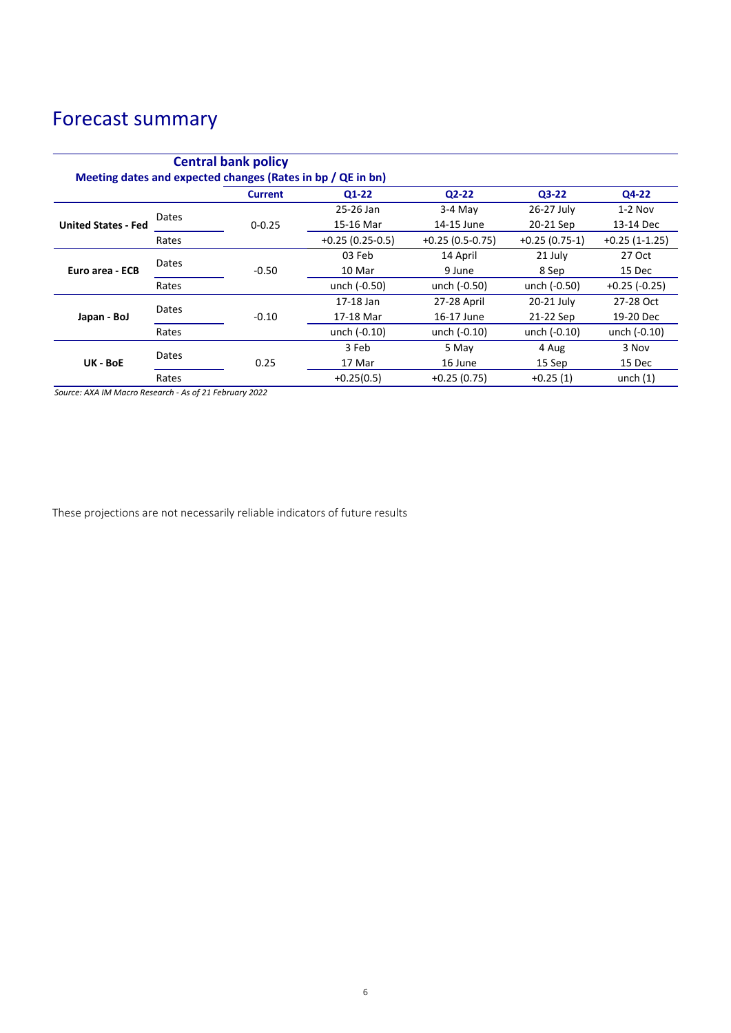# Forecast summary

| <b>Central bank policy</b><br>Meeting dates and expected changes (Rates in bp / QE in bn) |       |                |                   |                   |                 |                 |       |  |  |
|-------------------------------------------------------------------------------------------|-------|----------------|-------------------|-------------------|-----------------|-----------------|-------|--|--|
|                                                                                           |       | <b>Current</b> | $Q1-22$           | $Q2-22$           | $Q3-22$         | Q4-22           |       |  |  |
| <b>United States - Fed</b>                                                                | Dates |                | 25-26 Jan         | $3-4$ May         | 26-27 July      | $1-2$ Nov       |       |  |  |
|                                                                                           |       | $0 - 0.25$     | 15-16 Mar         | 14-15 June        | 20-21 Sep       | 13-14 Dec       |       |  |  |
|                                                                                           | Rates |                | $+0.25(0.25-0.5)$ | $+0.25(0.5-0.75)$ | $+0.25(0.75-1)$ | $+0.25(1-1.25)$ |       |  |  |
| Euro area - ECB                                                                           | Dates |                | 03 Feb            | 14 April          | 21 July         | 27 Oct          |       |  |  |
|                                                                                           |       | $-0.50$        | 10 Mar            | 9 June            | 8 Sep           | 15 Dec          |       |  |  |
|                                                                                           | Rates |                | unch (-0.50)      | unch (-0.50)      | unch (-0.50)    | $+0.25$ (-0.25) |       |  |  |
| Japan - BoJ                                                                               | Dates |                | 17-18 Jan         | 27-28 April       | 20-21 July      | 27-28 Oct       |       |  |  |
|                                                                                           |       | $-0.10$        | 17-18 Mar         | 16-17 June        | 21-22 Sep       | 19-20 Dec       |       |  |  |
|                                                                                           | Rates |                | unch (-0.10)      | unch (-0.10)      | unch $(-0.10)$  | unch (-0.10)    |       |  |  |
| UK - BoE                                                                                  |       | Dates          |                   | 3 Feb             | 5 May           | 4 Aug           | 3 Nov |  |  |
|                                                                                           |       | 0.25           | 17 Mar            | 16 June           | 15 Sep          | 15 Dec          |       |  |  |
|                                                                                           | Rates |                | $+0.25(0.5)$      | $+0.25(0.75)$     | $+0.25(1)$      | unch $(1)$      |       |  |  |

*Source: AXA IM Macro Research - As of 21 February 2022*

These projections are not necessarily reliable indicators of future results